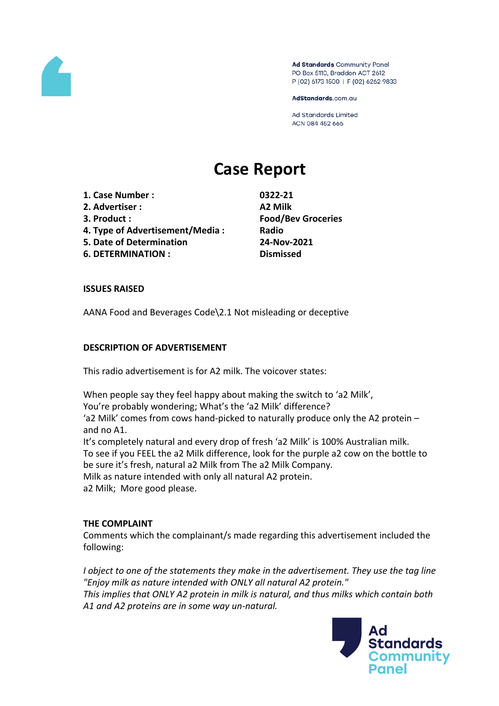

Ad Standards Community Panel PO Box 5110, Braddon ACT 2612 P (02) 6173 1500 | F (02) 6262 9833

AdStandards.com.au

**Ad Standards Limited** ACN 084 452 666

# **Case Report**

**1. Case Number : 0322-21**

- **2. Advertiser : A2 Milk**
- 
- **4. Type of Advertisement/Media : Radio**
- **5. Date of Determination 24-Nov-2021**
- **6. DETERMINATION : Dismissed**

**3. Product : Food/Bev Groceries**

## **ISSUES RAISED**

AANA Food and Beverages Code\2.1 Not misleading or deceptive

## **DESCRIPTION OF ADVERTISEMENT**

This radio advertisement is for A2 milk. The voicover states:

When people say they feel happy about making the switch to 'a2 Milk', You're probably wondering; What's the 'a2 Milk' difference? 'a2 Milk' comes from cows hand-picked to naturally produce only the A2 protein – and no A1. It's completely natural and every drop of fresh 'a2 Milk' is 100% Australian milk. To see if you FEEL the a2 Milk difference, look for the purple a2 cow on the bottle to

be sure it's fresh, natural a2 Milk from The a2 Milk Company.

Milk as nature intended with only all natural A2 protein.

a2 Milk; More good please.

### **THE COMPLAINT**

Comments which the complainant/s made regarding this advertisement included the following:

*I object to one of the statements they make in the advertisement. They use the tag line "Enjoy milk as nature intended with ONLY all natural A2 protein." This implies that ONLY A2 protein in milk is natural, and thus milks which contain both A1 and A2 proteins are in some way un-natural.*

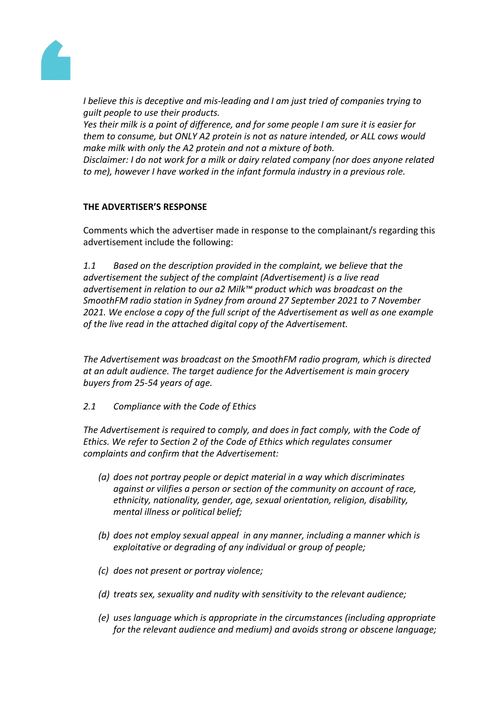

*I believe this is deceptive and mis-leading and I am just tried of companies trying to guilt people to use their products.*

*Yes their milk is a point of difference, and for some people I am sure it is easier for them to consume, but ONLY A2 protein is not as nature intended, or ALL cows would make milk with only the A2 protein and not a mixture of both. Disclaimer: I do not work for a milk or dairy related company (nor does anyone related*

*to me), however I have worked in the infant formula industry in a previous role.*

# **THE ADVERTISER'S RESPONSE**

Comments which the advertiser made in response to the complainant/s regarding this advertisement include the following:

*1.1 Based on the description provided in the complaint, we believe that the advertisement the subject of the complaint (Advertisement) is a live read advertisement in relation to our a2 Milk™ product which was broadcast on the SmoothFM radio station in Sydney from around 27 September 2021 to 7 November 2021. We enclose a copy of the full script of the Advertisement as well as one example of the live read in the attached digital copy of the Advertisement.*

*The Advertisement was broadcast on the SmoothFM radio program, which is directed at an adult audience. The target audience for the Advertisement is main grocery buyers from 25-54 years of age.*

*2.1 Compliance with the Code of Ethics*

*The Advertisement is required to comply, and does in fact comply, with the Code of Ethics. We refer to Section 2 of the Code of Ethics which regulates consumer complaints and confirm that the Advertisement:*

- *(a) does not portray people or depict material in a way which discriminates against or vilifies a person or section of the community on account of race, ethnicity, nationality, gender, age, sexual orientation, religion, disability, mental illness or political belief;*
- *(b) does not employ sexual appeal in any manner, including a manner which is exploitative or degrading of any individual or group of people;*
- *(c) does not present or portray violence;*
- *(d) treats sex, sexuality and nudity with sensitivity to the relevant audience;*
- *(e) uses language which is appropriate in the circumstances (including appropriate for the relevant audience and medium) and avoids strong or obscene language;*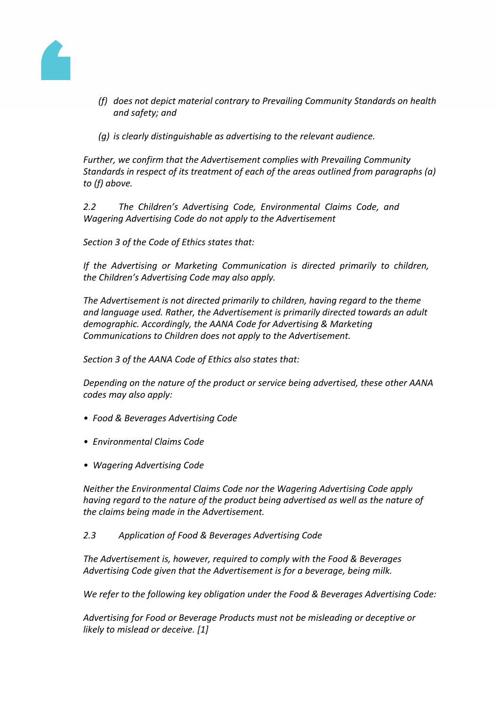

- *(f) does not depict material contrary to Prevailing Community Standards on health and safety; and*
- *(g) is clearly distinguishable as advertising to the relevant audience.*

*Further, we confirm that the Advertisement complies with Prevailing Community Standards in respect of its treatment of each of the areas outlined from paragraphs (a) to (f) above.*

*2.2 The Children's Advertising Code, Environmental Claims Code, and Wagering Advertising Code do not apply to the Advertisement*

*Section 3 of the Code of Ethics states that:*

*If the Advertising or Marketing Communication is directed primarily to children, the Children's Advertising Code may also apply.*

*The Advertisement is not directed primarily to children, having regard to the theme and language used. Rather, the Advertisement is primarily directed towards an adult demographic. Accordingly, the AANA Code for Advertising & Marketing Communications to Children does not apply to the Advertisement.*

*Section 3 of the AANA Code of Ethics also states that:*

*Depending on the nature of the product or service being advertised, these other AANA codes may also apply:*

- *Food & Beverages Advertising Code*
- *Environmental Claims Code*
- *Wagering Advertising Code*

*Neither the Environmental Claims Code nor the Wagering Advertising Code apply having regard to the nature of the product being advertised as well as the nature of the claims being made in the Advertisement.*

### *2.3 Application of Food & Beverages Advertising Code*

*The Advertisement is, however, required to comply with the Food & Beverages Advertising Code given that the Advertisement is for a beverage, being milk.*

*We refer to the following key obligation under the Food & Beverages Advertising Code:*

*Advertising for Food or Beverage Products must not be misleading or deceptive or likely to mislead or deceive. [1]*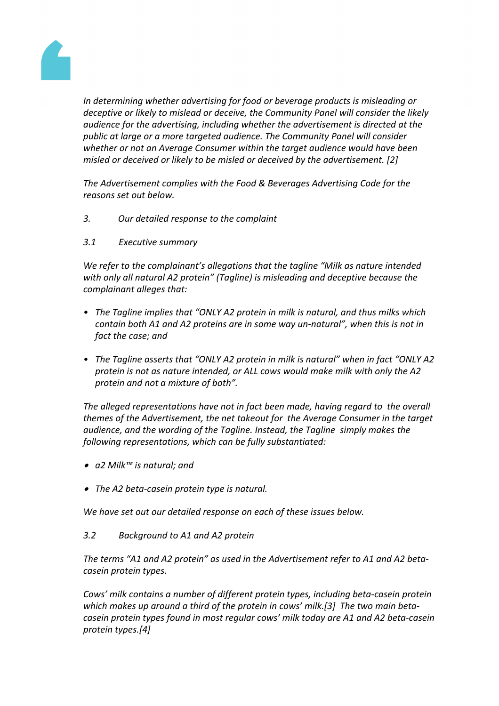

*In determining whether advertising for food or beverage products is misleading or deceptive or likely to mislead or deceive, the Community Panel will consider the likely audience for the advertising, including whether the advertisement is directed at the public at large or a more targeted audience. The Community Panel will consider whether or not an Average Consumer within the target audience would have been misled or deceived or likely to be misled or deceived by the advertisement. [2]*

*The Advertisement complies with the Food & Beverages Advertising Code for the reasons set out below.*

- *3. Our detailed response to the complaint*
- *3.1 Executive summary*

*We refer to the complainant's allegations that the tagline "Milk as nature intended with only all natural A2 protein" (Tagline) is misleading and deceptive because the complainant alleges that:*

- *• The Tagline implies that "ONLY A2 protein in milk is natural, and thus milks which contain both A1 and A2 proteins are in some way un-natural", when this is not in fact the case; and*
- *• The Tagline asserts that "ONLY A2 protein in milk is natural" when in fact "ONLY A2 protein is not as nature intended, or ALL cows would make milk with only the A2 protein and not a mixture of both".*

*The alleged representations have not in fact been made, having regard to the overall themes of the Advertisement, the net takeout for the Average Consumer in the target audience, and the wording of the Tagline. Instead, the Tagline simply makes the following representations, which can be fully substantiated:*

- *a2 Milk™ is natural; and*
- *The A2 beta-casein protein type is natural.*

*We have set out our detailed response on each of these issues below.*

*3.2 Background to A1 and A2 protein*

*The terms "A1 and A2 protein" as used in the Advertisement refer to A1 and A2 betacasein protein types.*

*Cows' milk contains a number of different protein types, including beta-casein protein which makes up around a third of the protein in cows' milk.[3] The two main betacasein protein types found in most regular cows' milk today are A1 and A2 beta-casein protein types.[4]*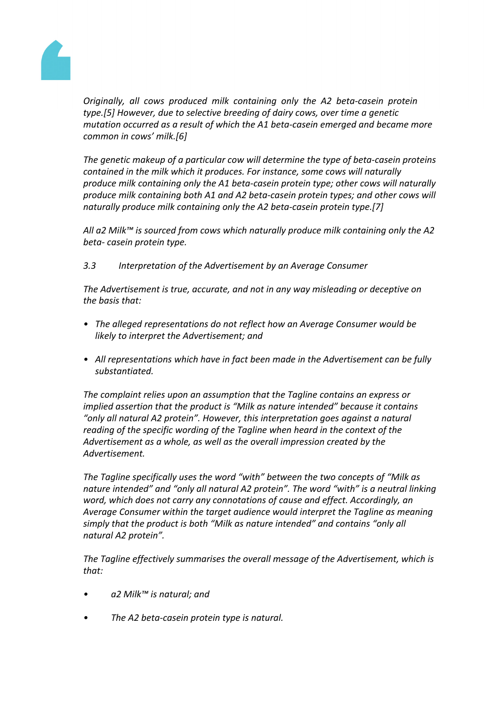

*Originally, all cows produced milk containing only the A2 beta-casein protein type.[5] However, due to selective breeding of dairy cows, over time a genetic mutation occurred as a result of which the A1 beta-casein emerged and became more common in cows' milk.[6]*

*The genetic makeup of a particular cow will determine the type of beta-casein proteins contained in the milk which it produces. For instance, some cows will naturally produce milk containing only the A1 beta-casein protein type; other cows will naturally produce milk containing both A1 and A2 beta-casein protein types; and other cows will naturally produce milk containing only the A2 beta-casein protein type.[7]*

*All a2 Milk™ is sourced from cows which naturally produce milk containing only the A2 beta- casein protein type.*

*3.3 Interpretation of the Advertisement by an Average Consumer*

*The Advertisement is true, accurate, and not in any way misleading or deceptive on the basis that:*

- *• The alleged representations do not reflect how an Average Consumer would be likely to interpret the Advertisement; and*
- *• All representations which have in fact been made in the Advertisement can be fully substantiated.*

*The complaint relies upon an assumption that the Tagline contains an express or implied assertion that the product is "Milk as nature intended" because it contains "only all natural A2 protein". However, this interpretation goes against a natural reading of the specific wording of the Tagline when heard in the context of the Advertisement as a whole, as well as the overall impression created by the Advertisement.*

*The Tagline specifically uses the word "with" between the two concepts of "Milk as nature intended" and "only all natural A2 protein". The word "with" is a neutral linking word, which does not carry any connotations of cause and effect. Accordingly, an Average Consumer within the target audience would interpret the Tagline as meaning simply that the product is both "Milk as nature intended" and contains "only all natural A2 protein".*

*The Tagline effectively summarises the overall message of the Advertisement, which is that:*

- *a2 Milk™ is natural; and*
- *The A2 beta-casein protein type is natural.*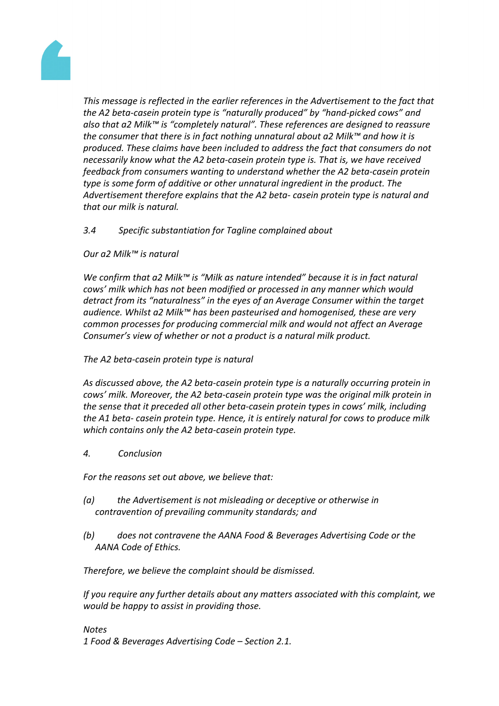

*This message is reflected in the earlier references in the Advertisement to the fact that the A2 beta-casein protein type is "naturally produced" by "hand-picked cows" and also that a2 Milk™ is "completely natural". These references are designed to reassure the consumer that there is in fact nothing unnatural about a2 Milk™ and how it is produced. These claims have been included to address the fact that consumers do not necessarily know what the A2 beta-casein protein type is. That is, we have received feedback from consumers wanting to understand whether the A2 beta-casein protein type is some form of additive or other unnatural ingredient in the product. The Advertisement therefore explains that the A2 beta- casein protein type is natural and that our milk is natural.*

# *3.4 Specific substantiation for Tagline complained about*

## *Our a2 Milk™ is natural*

*We confirm that a2 Milk™ is "Milk as nature intended" because it is in fact natural cows' milk which has not been modified or processed in any manner which would detract from its "naturalness" in the eyes of an Average Consumer within the target audience. Whilst a2 Milk™ has been pasteurised and homogenised, these are very common processes for producing commercial milk and would not affect an Average Consumer's view of whether or not a product is a natural milk product.*

# *The A2 beta-casein protein type is natural*

*As discussed above, the A2 beta-casein protein type is a naturally occurring protein in cows' milk. Moreover, the A2 beta-casein protein type was the original milk protein in the sense that it preceded all other beta-casein protein types in cows' milk, including the A1 beta- casein protein type. Hence, it is entirely natural for cows to produce milk which contains only the A2 beta-casein protein type.*

*4. Conclusion*

*For the reasons set out above, we believe that:*

- *(a) the Advertisement is not misleading or deceptive or otherwise in contravention of prevailing community standards; and*
- *(b) does not contravene the AANA Food & Beverages Advertising Code or the AANA Code of Ethics.*

*Therefore, we believe the complaint should be dismissed.*

*If you require any further details about any matters associated with this complaint, we would be happy to assist in providing those.*

*Notes 1 Food & Beverages Advertising Code – Section 2.1.*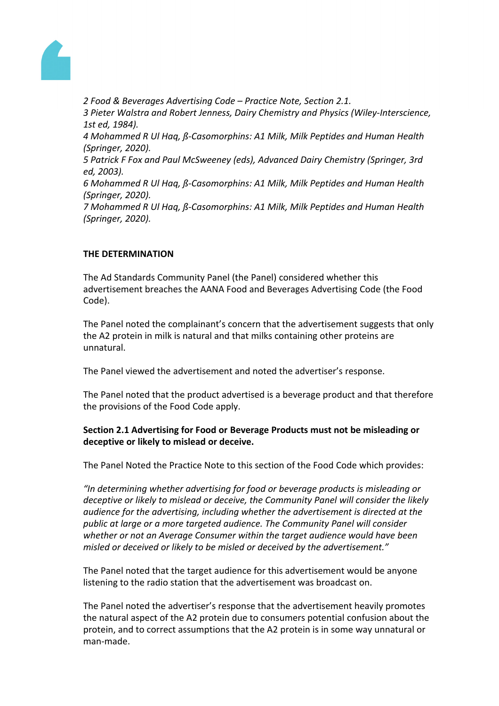

*2 Food & Beverages Advertising Code – Practice Note, Section 2.1. 3 Pieter Walstra and Robert Jenness, Dairy Chemistry and Physics (Wiley-Interscience, 1st ed, 1984). 4 Mohammed R Ul Haq, ß-Casomorphins: A1 Milk, Milk Peptides and Human Health (Springer, 2020). 5 Patrick F Fox and Paul McSweeney (eds), Advanced Dairy Chemistry (Springer, 3rd ed, 2003). 6 Mohammed R Ul Haq, ß-Casomorphins: A1 Milk, Milk Peptides and Human Health (Springer, 2020). 7 Mohammed R Ul Haq, ß-Casomorphins: A1 Milk, Milk Peptides and Human Health (Springer, 2020).*

# **THE DETERMINATION**

The Ad Standards Community Panel (the Panel) considered whether this advertisement breaches the AANA Food and Beverages Advertising Code (the Food Code).

The Panel noted the complainant's concern that the advertisement suggests that only the A2 protein in milk is natural and that milks containing other proteins are unnatural.

The Panel viewed the advertisement and noted the advertiser's response.

The Panel noted that the product advertised is a beverage product and that therefore the provisions of the Food Code apply.

# **Section 2.1 Advertising for Food or Beverage Products must not be misleading or deceptive or likely to mislead or deceive.**

The Panel Noted the Practice Note to this section of the Food Code which provides:

*"In determining whether advertising for food or beverage products is misleading or deceptive or likely to mislead or deceive, the Community Panel will consider the likely audience for the advertising, including whether the advertisement is directed at the public at large or a more targeted audience. The Community Panel will consider whether or not an Average Consumer within the target audience would have been misled or deceived or likely to be misled or deceived by the advertisement."*

The Panel noted that the target audience for this advertisement would be anyone listening to the radio station that the advertisement was broadcast on.

The Panel noted the advertiser's response that the advertisement heavily promotes the natural aspect of the A2 protein due to consumers potential confusion about the protein, and to correct assumptions that the A2 protein is in some way unnatural or man-made.